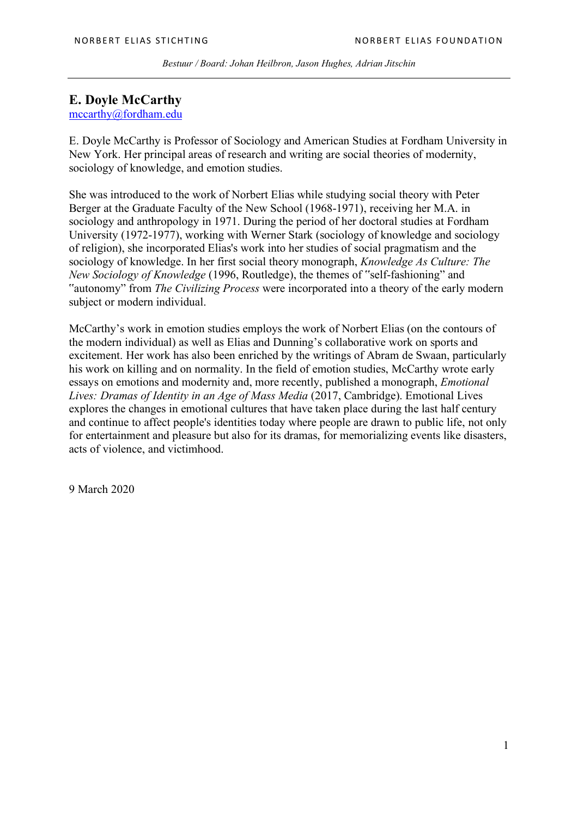# **E. Doyle McCarthy**

mccarthy@fordham.edu

E. Doyle McCarthy is Professor of Sociology and American Studies at Fordham University in New York. Her principal areas of research and writing are social theories of modernity, sociology of knowledge, and emotion studies.

She was introduced to the work of Norbert Elias while studying social theory with Peter Berger at the Graduate Faculty of the New School (1968-1971), receiving her M.A. in sociology and anthropology in 1971. During the period of her doctoral studies at Fordham University (1972-1977), working with Werner Stark (sociology of knowledge and sociology of religion), she incorporated Elias's work into her studies of social pragmatism and the sociology of knowledge. In her first social theory monograph, *Knowledge As Culture: The New Sociology of Knowledge* (1996, Routledge), the themes of "self-fashioning" and "autonomy" from *The Civilizing Process* were incorporated into a theory of the early modern subject or modern individual.

McCarthy's work in emotion studies employs the work of Norbert Elias (on the contours of the modern individual) as well as Elias and Dunning's collaborative work on sports and excitement. Her work has also been enriched by the writings of Abram de Swaan, particularly his work on killing and on normality. In the field of emotion studies, McCarthy wrote early essays on emotions and modernity and, more recently, published a monograph, *Emotional Lives: Dramas of Identity in an Age of Mass Media* (2017, Cambridge). Emotional Lives explores the changes in emotional cultures that have taken place during the last half century and continue to affect people's identities today where people are drawn to public life, not only for entertainment and pleasure but also for its dramas, for memorializing events like disasters, acts of violence, and victimhood.

9 March 2020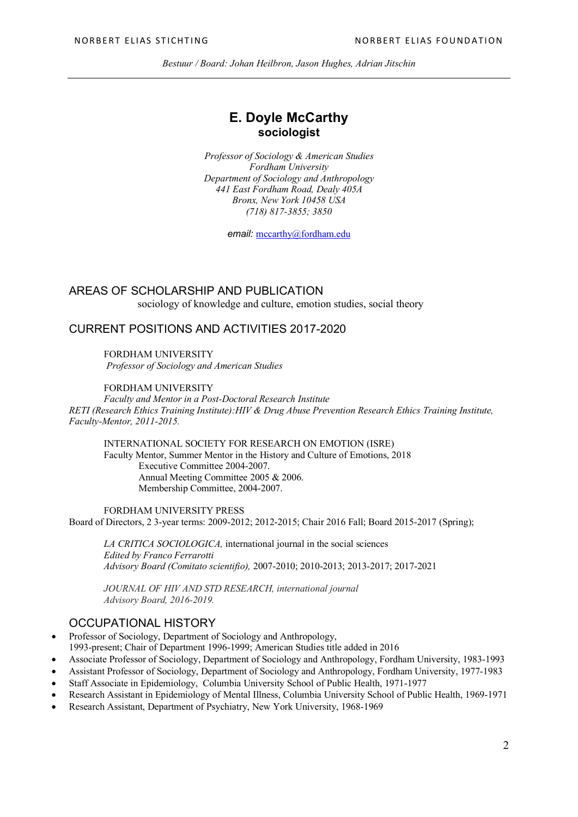## **E. Doyle McCarthy sociologist**

*Professor of Sociology & American Studies Fordham University Department of Sociology and Anthropology 441 East Fordham Road, Dealy 405A Bronx, New York 10458 USA (718) 817-3855; 3850*

*email:* mccarthy@fordham.edu

## AREAS OF SCHOLARSHIP AND PUBLICATION

sociology of knowledge and culture, emotion studies, social theory

## CURRENT POSITIONS AND ACTIVITIES 2017-2020

FORDHAM UNIVERSITY *Professor of Sociology and American Studies*

### FORDHAM UNIVERSITY

*Faculty and Mentor in a Post-Doctoral Research Institute RETI (Research Ethics Training Institute):HIV & Drug Abuse Prevention Research Ethics Training Institute, Faculty-Mentor, 2011-2015.*

INTERNATIONAL SOCIETY FOR RESEARCH ON EMOTION (ISRE) Faculty Mentor, Summer Mentor in the History and Culture of Emotions, 2018 Executive Committee 2004-2007. Annual Meeting Committee 2005 & 2006. Membership Committee, 2004-2007.

FORDHAM UNIVERSITY PRESS Board of Directors, 2 3-year terms: 2009-2012; 2012-2015; Chair 2016 Fall; Board 2015-2017 (Spring);

*LA CRITICA SOCIOLOGICA,* international journal in the social sciences *Edited by Franco Ferrarotti Advisory Board (Comitato scientifio),* 2007-2010; 2010-2013; 2013-2017; 2017-2021

*JOURNAL OF HIV AND STD RESEARCH, international journal Advisory Board, 2016-2019.*

## OCCUPATIONAL HISTORY

• Professor of Sociology, Department of Sociology and Anthropology, 1993-present; Chair of Department 1996-1999; American Studies title added in 2016

• Associate Professor of Sociology, Department of Sociology and Anthropology, Fordham University, 1983-1993

- Assistant Professor of Sociology, Department of Sociology and Anthropology, Fordham University, 1977-1983
- Staff Associate in Epidemiology, Columbia University School of Public Health, 1971-1977
- Research Assistant in Epidemiology of Mental Illness, Columbia University School of Public Health, 1969-1971
- Research Assistant, Department of Psychiatry, New York University, 1968-1969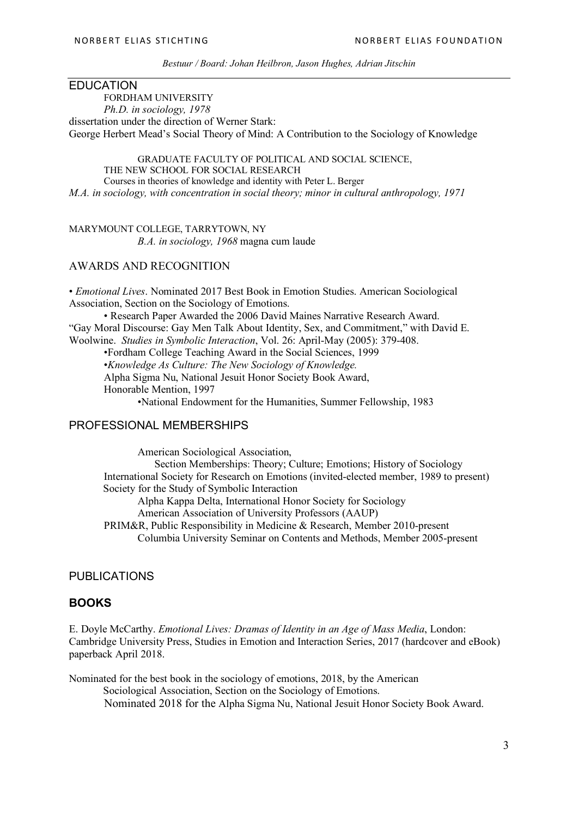### EDUCATION

FORDHAM UNIVERSITY *Ph.D. in sociology, 1978* dissertation under the direction of Werner Stark: George Herbert Mead's Social Theory of Mind: A Contribution to the Sociology of Knowledge

GRADUATE FACULTY OF POLITICAL AND SOCIAL SCIENCE, THE NEW SCHOOL FOR SOCIAL RESEARCH Courses in theories of knowledge and identity with Peter L. Berger *M.A. in sociology, with concentration in social theory; minor in cultural anthropology, 1971*

MARYMOUNT COLLEGE, TARRYTOWN, NY *B.A. in sociology, 1968* magna cum laude

## AWARDS AND RECOGNITION

• *Emotional Lives*. Nominated 2017 Best Book in Emotion Studies. American Sociological Association, Section on the Sociology of Emotions.

• Research Paper Awarded the 2006 David Maines Narrative Research Award. "Gay Moral Discourse: Gay Men Talk About Identity, Sex, and Commitment," with David E. Woolwine. *Studies in Symbolic Interaction*, Vol. 26: April-May (2005): 379-408.

•Fordham College Teaching Award in the Social Sciences, 1999

•*Knowledge As Culture: The New Sociology of Knowledge.* 

Alpha Sigma Nu, National Jesuit Honor Society Book Award,

Honorable Mention, 1997

•National Endowment for the Humanities, Summer Fellowship, 1983

### PROFESSIONAL MEMBERSHIPS

American Sociological Association, Section Memberships: Theory; Culture; Emotions; History of Sociology International Society for Research on Emotions (invited-elected member, 1989 to present) Society for the Study of Symbolic Interaction Alpha Kappa Delta, International Honor Society for Sociology American Association of University Professors (AAUP) PRIM&R, Public Responsibility in Medicine & Research, Member 2010-present

Columbia University Seminar on Contents and Methods, Member 2005-present

## PUBLICATIONS

## **BOOKS**

E. Doyle McCarthy. *Emotional Lives: Dramas of Identity in an Age of Mass Media*, London: Cambridge University Press, Studies in Emotion and Interaction Series, 2017 (hardcover and eBook) paperback April 2018.

Nominated for the best book in the sociology of emotions, 2018, by the American Sociological Association, Section on the Sociology of Emotions. Nominated 2018 for the Alpha Sigma Nu, National Jesuit Honor Society Book Award.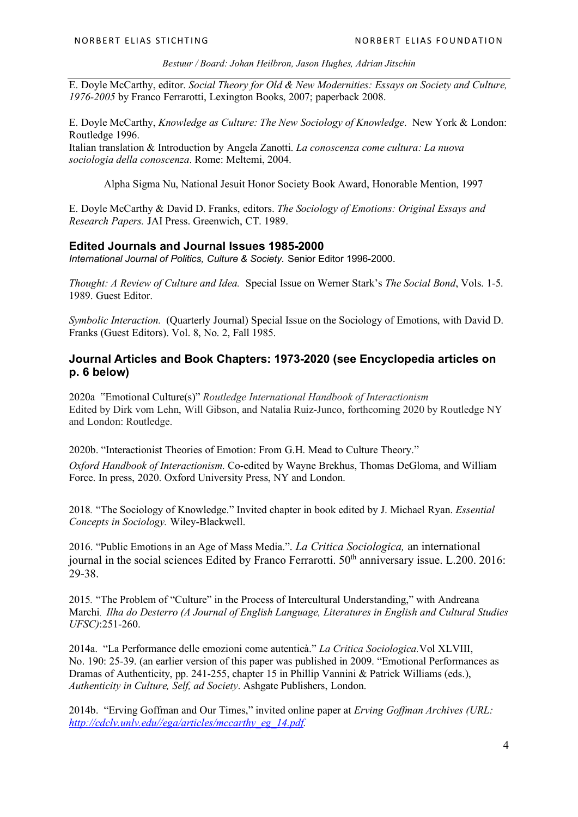E. Doyle McCarthy, editor. *Social Theory for Old & New Modernities: Essays on Society and Culture, 1976-2005* by Franco Ferrarotti, Lexington Books, 2007; paperback 2008.

E. Doyle McCarthy, *Knowledge as Culture: The New Sociology of Knowledge*. New York & London: Routledge 1996.

Italian translation & Introduction by Angela Zanotti. *La conoscenza come cultura: La nuova sociologia della conoscenza*. Rome: Meltemi, 2004.

Alpha Sigma Nu, National Jesuit Honor Society Book Award, Honorable Mention, 1997

E. Doyle McCarthy & David D. Franks, editors. *The Sociology of Emotions: Original Essays and Research Papers.* JAI Press. Greenwich, CT. 1989.

### **Edited Journals and Journal Issues 1985-2000**

*International Journal of Politics, Culture & Society.* Senior Editor 1996-2000.

*Thought: A Review of Culture and Idea.* Special Issue on Werner Stark's *The Social Bond*, Vols. 1-5. 1989. Guest Editor.

*Symbolic Interaction.* (Quarterly Journal) Special Issue on the Sociology of Emotions, with David D. Franks (Guest Editors). Vol. 8, No. 2, Fall 1985.

## **Journal Articles and Book Chapters: 1973-2020 (see Encyclopedia articles on p. 6 below)**

2020a "Emotional Culture(s)" *Routledge International Handbook of Interactionism* Edited by Dirk vom Lehn, Will Gibson, and Natalia Ruiz-Junco, forthcoming 2020 by Routledge NY and London: Routledge.

2020b. "Interactionist Theories of Emotion: From G.H. Mead to Culture Theory."

*Oxford Handbook of Interactionism*. Co-edited by Wayne Brekhus, Thomas DeGloma, and William Force. In press, 2020. Oxford University Press, NY and London.

2018*.* "The Sociology of Knowledge." Invited chapter in book edited by J. Michael Ryan. *Essential Concepts in Sociology.* Wiley-Blackwell.

2016. "Public Emotions in an Age of Mass Media.". *La Critica Sociologica,* an international journal in the social sciences Edited by Franco Ferrarotti.  $50<sup>th</sup>$  anniversary issue. L.200. 2016: 29-38.

2015*.* "The Problem of "Culture" in the Process of Intercultural Understanding," with Andreana Marchi. *Ilha do Desterro (A Journal of English Language, Literatures in English and Cultural Studies UFSC)*:251-260.

2014a. "La Performance delle emozioni come autenticà." *La Critica Sociologica.*Vol XLVIII, No. 190: 25-39. (an earlier version of this paper was published in 2009. "Emotional Performances as Dramas of Authenticity, pp. 241-255, chapter 15 in Phillip Vannini & Patrick Williams (eds.), *Authenticity in Culture, Self, ad Society*. Ashgate Publishers, London.

2014b. "Erving Goffman and Our Times," invited online paper at *Erving Goffman Archives (URL: http://cdclv.unlv.edu//ega/articles/mccarthy\_eg\_14.pdf.*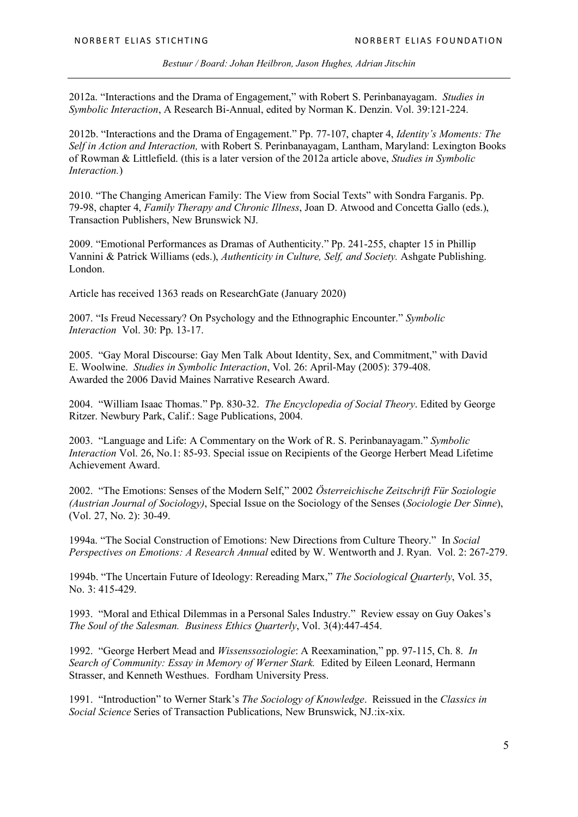2012a. "Interactions and the Drama of Engagement," with Robert S. Perinbanayagam. *Studies in Symbolic Interaction*, A Research Bi-Annual, edited by Norman K. Denzin. Vol. 39:121-224.

2012b. "Interactions and the Drama of Engagement." Pp. 77-107, chapter 4, *Identity's Moments: The Self in Action and Interaction,* with Robert S. Perinbanayagam, Lantham, Maryland: Lexington Books of Rowman & Littlefield. (this is a later version of the 2012a article above, *Studies in Symbolic Interaction.*)

2010. "The Changing American Family: The View from Social Texts" with Sondra Farganis. Pp. 79-98, chapter 4, *Family Therapy and Chronic Illness*, Joan D. Atwood and Concetta Gallo (eds.), Transaction Publishers, New Brunswick NJ.

2009. "Emotional Performances as Dramas of Authenticity." Pp. 241-255, chapter 15 in Phillip Vannini & Patrick Williams (eds.), *Authenticity in Culture, Self, and Society.* Ashgate Publishing. London.

Article has received 1363 reads on ResearchGate (January 2020)

2007. "Is Freud Necessary? On Psychology and the Ethnographic Encounter." *Symbolic Interaction* Vol. 30: Pp. 13-17.

2005. "Gay Moral Discourse: Gay Men Talk About Identity, Sex, and Commitment," with David E. Woolwine. *Studies in Symbolic Interaction*, Vol. 26: April-May (2005): 379-408. Awarded the 2006 David Maines Narrative Research Award.

2004. "William Isaac Thomas." Pp. 830-32. *The Encyclopedia of Social Theory*. Edited by George Ritzer. Newbury Park, Calif.: Sage Publications, 2004.

2003. "Language and Life: A Commentary on the Work of R. S. Perinbanayagam." *Symbolic Interaction* Vol. 26, No.1: 85-93. Special issue on Recipients of the George Herbert Mead Lifetime Achievement Award.

2002. "The Emotions: Senses of the Modern Self," 2002 *Österreichische Zeitschrift Für Soziologie (Austrian Journal of Sociology)*, Special Issue on the Sociology of the Senses (*Sociologie Der Sinne*), (Vol. 27, No. 2): 30-49.

1994a. "The Social Construction of Emotions: New Directions from Culture Theory." In *Social Perspectives on Emotions: A Research Annual* edited by W. Wentworth and J. Ryan. Vol. 2: 267-279.

1994b. "The Uncertain Future of Ideology: Rereading Marx," *The Sociological Quarterly*, Vol. 35, No. 3: 415-429.

1993. "Moral and Ethical Dilemmas in a Personal Sales Industry." Review essay on Guy Oakes's *The Soul of the Salesman. Business Ethics Quarterly*, Vol. 3(4):447-454.

1992. "George Herbert Mead and *Wissenssoziologie*: A Reexamination," pp. 97-115, Ch. 8. *In Search of Community: Essay in Memory of Werner Stark.* Edited by Eileen Leonard, Hermann Strasser, and Kenneth Westhues. Fordham University Press.

1991. "Introduction" to Werner Stark's *The Sociology of Knowledge*. Reissued in the *Classics in Social Science* Series of Transaction Publications, New Brunswick, NJ.:ix-xix.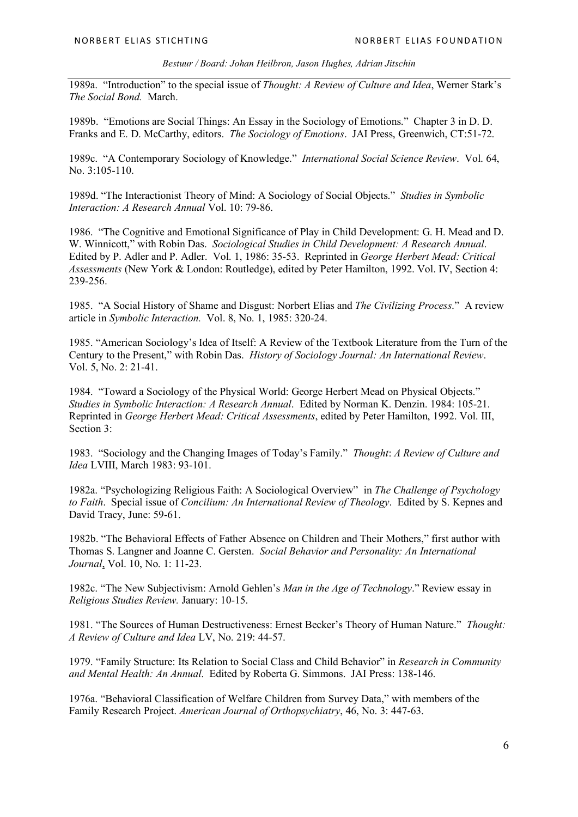1989a. "Introduction" to the special issue of *Thought: A Review of Culture and Idea*, Werner Stark's *The Social Bond.* March.

1989b. "Emotions are Social Things: An Essay in the Sociology of Emotions." Chapter 3 in D. D. Franks and E. D. McCarthy, editors. *The Sociology of Emotions*. JAI Press, Greenwich, CT:51-72.

1989c. "A Contemporary Sociology of Knowledge." *International Social Science Review*. Vol. 64, No. 3:105-110.

1989d. "The Interactionist Theory of Mind: A Sociology of Social Objects." *Studies in Symbolic Interaction: A Research Annual* Vol. 10: 79-86.

1986. "The Cognitive and Emotional Significance of Play in Child Development: G. H. Mead and D. W. Winnicott," with Robin Das. *Sociological Studies in Child Development: A Research Annual*. Edited by P. Adler and P. Adler. Vol. 1, 1986: 35-53. Reprinted in *George Herbert Mead: Critical Assessments* (New York & London: Routledge), edited by Peter Hamilton, 1992. Vol. IV, Section 4: 239-256.

1985. "A Social History of Shame and Disgust: Norbert Elias and *The Civilizing Process*." A review article in *Symbolic Interaction.* Vol. 8, No. 1, 1985: 320-24.

1985. "American Sociology's Idea of Itself: A Review of the Textbook Literature from the Turn of the Century to the Present," with Robin Das. *History of Sociology Journal: An International Review*. Vol. 5, No. 2: 21-41.

1984. "Toward a Sociology of the Physical World: George Herbert Mead on Physical Objects." *Studies in Symbolic Interaction: A Research Annual*. Edited by Norman K. Denzin. 1984: 105-21. Reprinted in *George Herbert Mead: Critical Assessments*, edited by Peter Hamilton, 1992. Vol. III, Section 3:

1983. "Sociology and the Changing Images of Today's Family." *Thought*: *A Review of Culture and Idea* LVIII, March 1983: 93-101.

1982a. "Psychologizing Religious Faith: A Sociological Overview" in *The Challenge of Psychology to Faith*. Special issue of *Concilium: An International Review of Theology*. Edited by S. Kepnes and David Tracy, June: 59-61.

1982b. "The Behavioral Effects of Father Absence on Children and Their Mothers," first author with Thomas S. Langner and Joanne C. Gersten. *Social Behavior and Personality: An International Journal*, Vol. 10, No. 1: 11-23.

1982c. "The New Subjectivism: Arnold Gehlen's *Man in the Age of Technology*." Review essay in *Religious Studies Review.* January: 10-15.

1981. "The Sources of Human Destructiveness: Ernest Becker's Theory of Human Nature." *Thought: A Review of Culture and Idea* LV, No. 219: 44-57.

1979. "Family Structure: Its Relation to Social Class and Child Behavior" in *Research in Community and Mental Health: An Annual*. Edited by Roberta G. Simmons. JAI Press: 138-146.

1976a. "Behavioral Classification of Welfare Children from Survey Data," with members of the Family Research Project. *American Journal of Orthopsychiatry*, 46, No. 3: 447-63.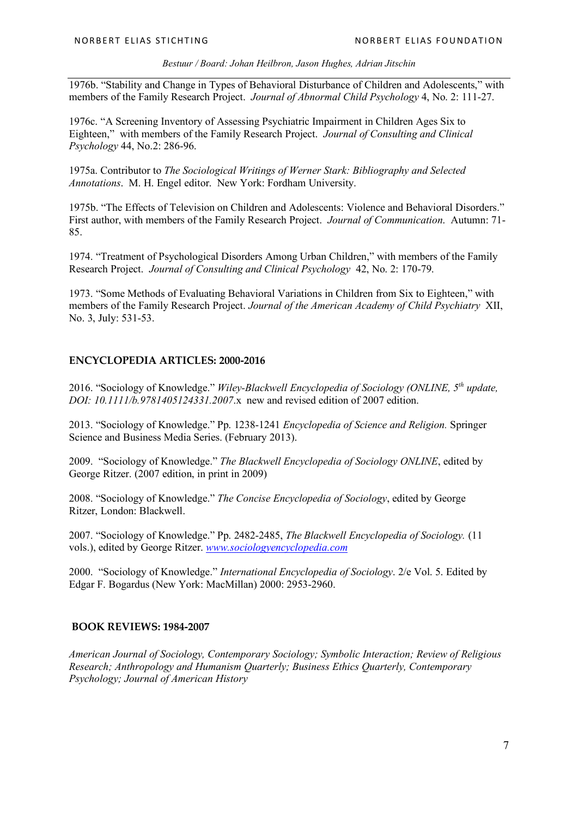1976b. "Stability and Change in Types of Behavioral Disturbance of Children and Adolescents," with members of the Family Research Project. *Journal of Abnormal Child Psychology* 4, No. 2: 111-27.

1976c. "A Screening Inventory of Assessing Psychiatric Impairment in Children Ages Six to Eighteen," with members of the Family Research Project. *Journal of Consulting and Clinical Psychology* 44, No.2: 286-96.

1975a. Contributor to *The Sociological Writings of Werner Stark: Bibliography and Selected Annotations*. M. H. Engel editor. New York: Fordham University.

1975b. "The Effects of Television on Children and Adolescents: Violence and Behavioral Disorders." First author, with members of the Family Research Project. *Journal of Communication*. Autumn: 71- 85.

1974. "Treatment of Psychological Disorders Among Urban Children," with members of the Family Research Project. *Journal of Consulting and Clinical Psychology* 42, No. 2: 170-79.

1973. "Some Methods of Evaluating Behavioral Variations in Children from Six to Eighteen," with members of the Family Research Project. *Journal of the American Academy of Child Psychiatry* XII, No. 3, July: 531-53.

### **ENCYCLOPEDIA ARTICLES: 2000-2016**

2016. "Sociology of Knowledge." *Wiley-Blackwell Encyclopedia of Sociology (ONLINE, 5th update, DOI: 10.1111/b.9781405124331.2007*.x new and revised edition of 2007 edition.

2013. "Sociology of Knowledge." Pp. 1238-1241 *Encyclopedia of Science and Religion.* Springer Science and Business Media Series. (February 2013).

2009. "Sociology of Knowledge." *The Blackwell Encyclopedia of Sociology ONLINE*, edited by George Ritzer. (2007 edition, in print in 2009)

2008. "Sociology of Knowledge." *The Concise Encyclopedia of Sociology*, edited by George Ritzer, London: Blackwell.

2007. "Sociology of Knowledge." Pp. 2482-2485, *The Blackwell Encyclopedia of Sociology.* (11 vols.), edited by George Ritzer. *www.sociologyencyclopedia.com*

2000. "Sociology of Knowledge." *International Encyclopedia of Sociology*. 2/e Vol. 5. Edited by Edgar F. Bogardus (New York: MacMillan) 2000: 2953-2960.

### **BOOK REVIEWS: 1984-2007**

*American Journal of Sociology, Contemporary Sociology; Symbolic Interaction; Review of Religious Research; Anthropology and Humanism Quarterly; Business Ethics Quarterly, Contemporary Psychology; Journal of American History*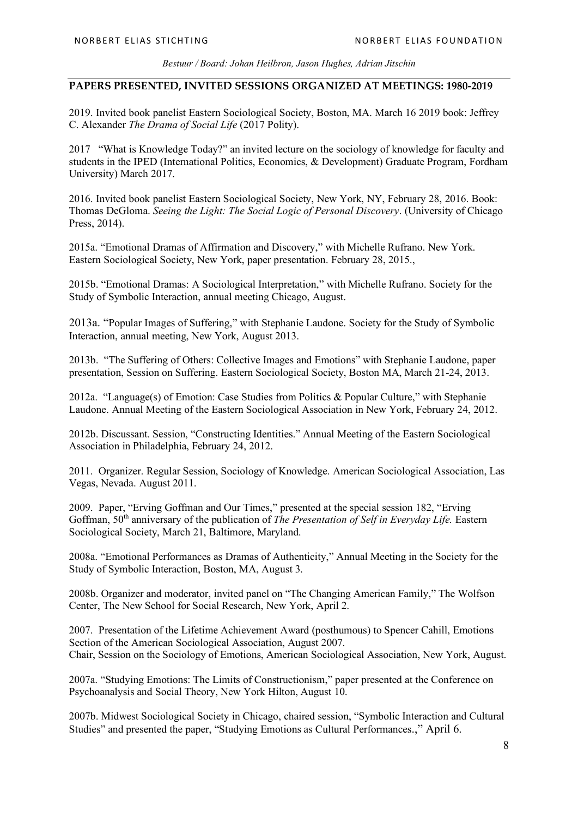### **PAPERS PRESENTED, INVITED SESSIONS ORGANIZED AT MEETINGS: 1980-2019**

2019. Invited book panelist Eastern Sociological Society, Boston, MA. March 16 2019 book: Jeffrey C. Alexander *The Drama of Social Life* (2017 Polity).

2017 "What is Knowledge Today?" an invited lecture on the sociology of knowledge for faculty and students in the IPED (International Politics, Economics, & Development) Graduate Program, Fordham University) March 2017.

2016. Invited book panelist Eastern Sociological Society, New York, NY, February 28, 2016. Book: Thomas DeGloma. *Seeing the Light: The Social Logic of Personal Discovery*. (University of Chicago Press, 2014).

2015a. "Emotional Dramas of Affirmation and Discovery," with Michelle Rufrano. New York. Eastern Sociological Society, New York, paper presentation. February 28, 2015.,

2015b. "Emotional Dramas: A Sociological Interpretation," with Michelle Rufrano. Society for the Study of Symbolic Interaction, annual meeting Chicago, August.

2013a. "Popular Images of Suffering," with Stephanie Laudone. Society for the Study of Symbolic Interaction, annual meeting, New York, August 2013.

2013b. "The Suffering of Others: Collective Images and Emotions" with Stephanie Laudone, paper presentation, Session on Suffering. Eastern Sociological Society, Boston MA, March 21-24, 2013.

2012a. "Language(s) of Emotion: Case Studies from Politics & Popular Culture," with Stephanie Laudone. Annual Meeting of the Eastern Sociological Association in New York, February 24, 2012.

2012b. Discussant. Session, "Constructing Identities." Annual Meeting of the Eastern Sociological Association in Philadelphia, February 24, 2012.

2011. Organizer. Regular Session, Sociology of Knowledge. American Sociological Association, Las Vegas, Nevada. August 2011.

2009. Paper, "Erving Goffman and Our Times," presented at the special session 182, "Erving Goffman, 50th anniversary of the publication of *The Presentation of Self in Everyday Life.* Eastern Sociological Society, March 21, Baltimore, Maryland.

2008a. "Emotional Performances as Dramas of Authenticity," Annual Meeting in the Society for the Study of Symbolic Interaction, Boston, MA, August 3.

2008b. Organizer and moderator, invited panel on "The Changing American Family," The Wolfson Center, The New School for Social Research, New York, April 2.

2007. Presentation of the Lifetime Achievement Award (posthumous) to Spencer Cahill, Emotions Section of the American Sociological Association, August 2007. Chair, Session on the Sociology of Emotions, American Sociological Association, New York, August.

2007a. "Studying Emotions: The Limits of Constructionism," paper presented at the Conference on Psychoanalysis and Social Theory, New York Hilton, August 10.

2007b. Midwest Sociological Society in Chicago, chaired session, "Symbolic Interaction and Cultural Studies" and presented the paper, "Studying Emotions as Cultural Performances.," April 6.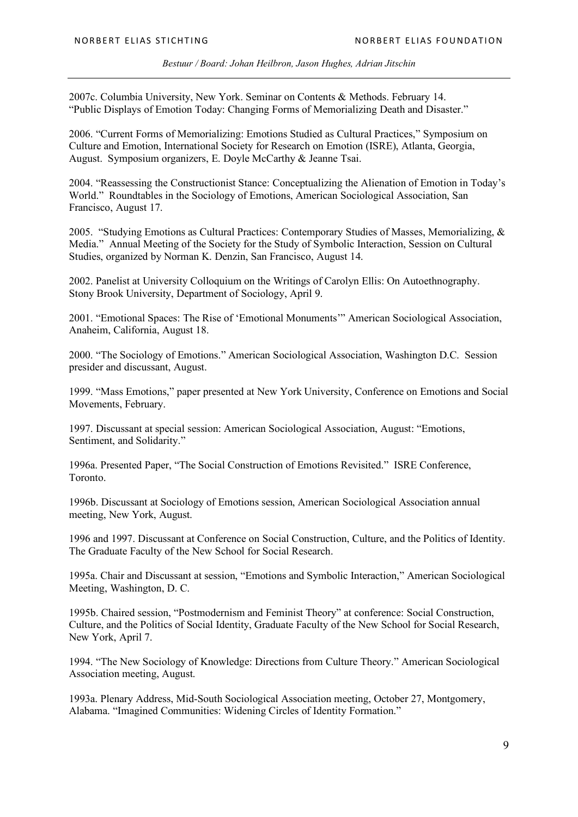2007c. Columbia University, New York. Seminar on Contents & Methods. February 14. "Public Displays of Emotion Today: Changing Forms of Memorializing Death and Disaster."

2006. "Current Forms of Memorializing: Emotions Studied as Cultural Practices," Symposium on Culture and Emotion, International Society for Research on Emotion (ISRE), Atlanta, Georgia, August. Symposium organizers, E. Doyle McCarthy & Jeanne Tsai.

2004. "Reassessing the Constructionist Stance: Conceptualizing the Alienation of Emotion in Today's World." Roundtables in the Sociology of Emotions, American Sociological Association, San Francisco, August 17.

2005. "Studying Emotions as Cultural Practices: Contemporary Studies of Masses, Memorializing, & Media." Annual Meeting of the Society for the Study of Symbolic Interaction, Session on Cultural Studies, organized by Norman K. Denzin, San Francisco, August 14.

2002. Panelist at University Colloquium on the Writings of Carolyn Ellis: On Autoethnography. Stony Brook University, Department of Sociology, April 9.

2001. "Emotional Spaces: The Rise of 'Emotional Monuments'" American Sociological Association, Anaheim, California, August 18.

2000. "The Sociology of Emotions." American Sociological Association, Washington D.C. Session presider and discussant, August.

1999. "Mass Emotions," paper presented at New York University, Conference on Emotions and Social Movements, February.

1997. Discussant at special session: American Sociological Association, August: "Emotions, Sentiment, and Solidarity."

1996a. Presented Paper, "The Social Construction of Emotions Revisited." ISRE Conference, Toronto.

1996b. Discussant at Sociology of Emotions session, American Sociological Association annual meeting, New York, August.

1996 and 1997. Discussant at Conference on Social Construction, Culture, and the Politics of Identity. The Graduate Faculty of the New School for Social Research.

1995a. Chair and Discussant at session, "Emotions and Symbolic Interaction," American Sociological Meeting, Washington, D. C.

1995b. Chaired session, "Postmodernism and Feminist Theory" at conference: Social Construction, Culture, and the Politics of Social Identity, Graduate Faculty of the New School for Social Research, New York, April 7.

1994. "The New Sociology of Knowledge: Directions from Culture Theory." American Sociological Association meeting, August.

1993a. Plenary Address, Mid-South Sociological Association meeting, October 27, Montgomery, Alabama. "Imagined Communities: Widening Circles of Identity Formation."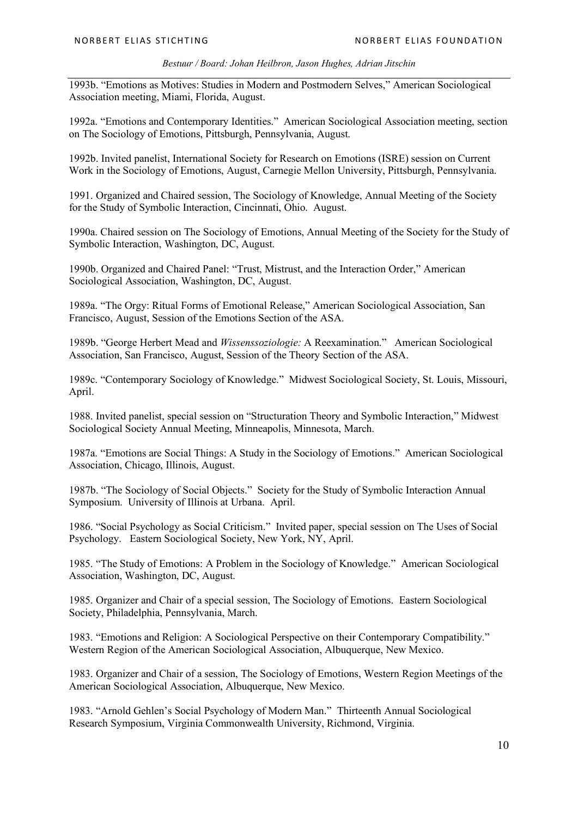1993b. "Emotions as Motives: Studies in Modern and Postmodern Selves," American Sociological Association meeting, Miami, Florida, August.

1992a. "Emotions and Contemporary Identities." American Sociological Association meeting, section on The Sociology of Emotions, Pittsburgh, Pennsylvania, August.

1992b. Invited panelist, International Society for Research on Emotions (ISRE) session on Current Work in the Sociology of Emotions, August, Carnegie Mellon University, Pittsburgh, Pennsylvania.

1991. Organized and Chaired session, The Sociology of Knowledge, Annual Meeting of the Society for the Study of Symbolic Interaction, Cincinnati, Ohio. August.

1990a. Chaired session on The Sociology of Emotions, Annual Meeting of the Society for the Study of Symbolic Interaction, Washington, DC, August.

1990b. Organized and Chaired Panel: "Trust, Mistrust, and the Interaction Order," American Sociological Association, Washington, DC, August.

1989a. "The Orgy: Ritual Forms of Emotional Release," American Sociological Association, San Francisco, August, Session of the Emotions Section of the ASA.

1989b. "George Herbert Mead and *Wissenssoziologie:* A Reexamination." American Sociological Association, San Francisco, August, Session of the Theory Section of the ASA.

1989c. "Contemporary Sociology of Knowledge." Midwest Sociological Society, St. Louis, Missouri, April.

1988. Invited panelist, special session on "Structuration Theory and Symbolic Interaction," Midwest Sociological Society Annual Meeting, Minneapolis, Minnesota, March.

1987a. "Emotions are Social Things: A Study in the Sociology of Emotions." American Sociological Association, Chicago, Illinois, August.

1987b. "The Sociology of Social Objects." Society for the Study of Symbolic Interaction Annual Symposium. University of Illinois at Urbana. April.

1986. "Social Psychology as Social Criticism." Invited paper, special session on The Uses of Social Psychology. Eastern Sociological Society, New York, NY, April.

1985. "The Study of Emotions: A Problem in the Sociology of Knowledge." American Sociological Association, Washington, DC, August.

1985. Organizer and Chair of a special session, The Sociology of Emotions. Eastern Sociological Society, Philadelphia, Pennsylvania, March.

1983. "Emotions and Religion: A Sociological Perspective on their Contemporary Compatibility." Western Region of the American Sociological Association, Albuquerque, New Mexico.

1983. Organizer and Chair of a session, The Sociology of Emotions, Western Region Meetings of the American Sociological Association, Albuquerque, New Mexico.

1983. "Arnold Gehlen's Social Psychology of Modern Man." Thirteenth Annual Sociological Research Symposium, Virginia Commonwealth University, Richmond, Virginia.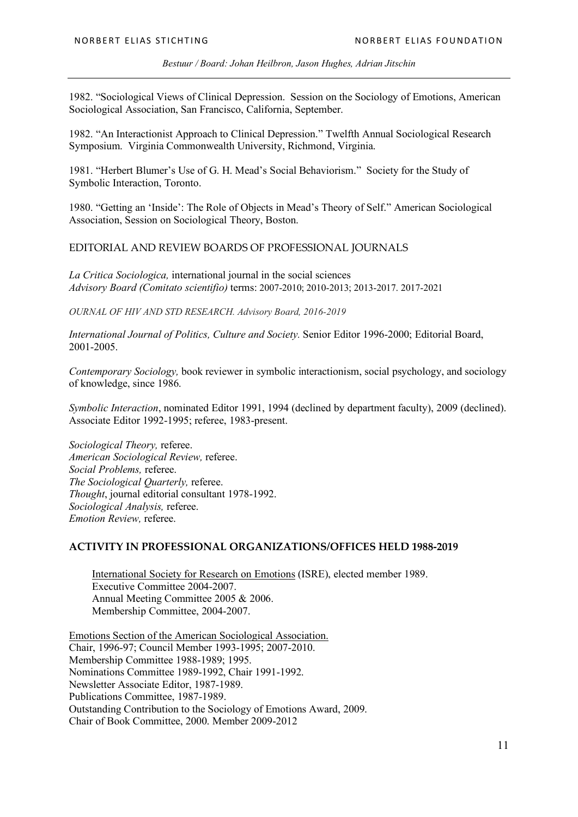1982. "Sociological Views of Clinical Depression. Session on the Sociology of Emotions, American Sociological Association, San Francisco, California, September.

1982. "An Interactionist Approach to Clinical Depression." Twelfth Annual Sociological Research Symposium. Virginia Commonwealth University, Richmond, Virginia.

1981. "Herbert Blumer's Use of G. H. Mead's Social Behaviorism." Society for the Study of Symbolic Interaction, Toronto.

1980. "Getting an 'Inside': The Role of Objects in Mead's Theory of Self." American Sociological Association, Session on Sociological Theory, Boston.

### EDITORIAL AND REVIEW BOARDS OF PROFESSIONAL JOURNALS

*La Critica Sociologica,* international journal in the social sciences *Advisory Board (Comitato scientifio)* terms: 2007-2010; 2010-2013; 2013-2017. 2017-2021

*OURNAL OF HIV AND STD RESEARCH. Advisory Board, 2016-2019*

*International Journal of Politics, Culture and Society.* Senior Editor 1996-2000; Editorial Board, 2001-2005.

*Contemporary Sociology,* book reviewer in symbolic interactionism, social psychology, and sociology of knowledge, since 1986.

*Symbolic Interaction*, nominated Editor 1991, 1994 (declined by department faculty), 2009 (declined). Associate Editor 1992-1995; referee, 1983-present.

*Sociological Theory,* referee. *American Sociological Review,* referee. *Social Problems,* referee. *The Sociological Quarterly,* referee. *Thought*, journal editorial consultant 1978-1992. *Sociological Analysis,* referee. *Emotion Review,* referee.

### **ACTIVITY IN PROFESSIONAL ORGANIZATIONS/OFFICES HELD 1988-2019**

International Society for Research on Emotions (ISRE), elected member 1989. Executive Committee 2004-2007. Annual Meeting Committee 2005 & 2006. Membership Committee, 2004-2007.

Emotions Section of the American Sociological Association. Chair, 1996-97; Council Member 1993-1995; 2007-2010. Membership Committee 1988-1989; 1995. Nominations Committee 1989-1992, Chair 1991-1992. Newsletter Associate Editor, 1987-1989. Publications Committee, 1987-1989. Outstanding Contribution to the Sociology of Emotions Award, 2009. Chair of Book Committee, 2000. Member 2009-2012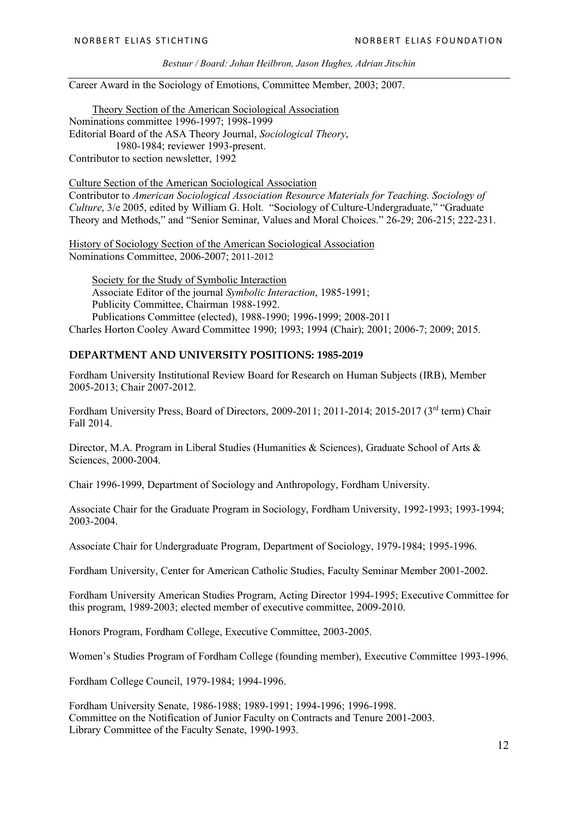Career Award in the Sociology of Emotions, Committee Member, 2003; 2007.

Theory Section of the American Sociological Association Nominations committee 1996-1997; 1998-1999 Editorial Board of the ASA Theory Journal, *Sociological Theory*, 1980-1984; reviewer 1993-present. Contributor to section newsletter, 1992

Culture Section of the American Sociological Association Contributor to *American Sociological Association Resource Materials for Teaching*. *Sociology of Culture*, 3/e 2005, edited by William G. Holt. "Sociology of Culture-Undergraduate," "Graduate Theory and Methods," and "Senior Seminar, Values and Moral Choices." 26-29; 206-215; 222-231.

History of Sociology Section of the American Sociological Association Nominations Committee, 2006-2007; 2011-2012

Society for the Study of Symbolic Interaction Associate Editor of the journal *Symbolic Interaction*, 1985-1991; Publicity Committee, Chairman 1988-1992. Publications Committee (elected), 1988-1990; 1996-1999; 2008-2011 Charles Horton Cooley Award Committee 1990; 1993; 1994 (Chair); 2001; 2006-7; 2009; 2015.

### **DEPARTMENT AND UNIVERSITY POSITIONS: 1985-2019**

Fordham University Institutional Review Board for Research on Human Subjects (IRB), Member 2005-2013; Chair 2007-2012.

Fordham University Press, Board of Directors, 2009-2011; 2011-2014; 2015-2017 (3rd term) Chair Fall 2014.

Director, M.A. Program in Liberal Studies (Humanities & Sciences), Graduate School of Arts & Sciences, 2000-2004.

Chair 1996-1999, Department of Sociology and Anthropology, Fordham University.

Associate Chair for the Graduate Program in Sociology, Fordham University, 1992-1993; 1993-1994; 2003-2004.

Associate Chair for Undergraduate Program, Department of Sociology, 1979-1984; 1995-1996.

Fordham University, Center for American Catholic Studies, Faculty Seminar Member 2001-2002.

Fordham University American Studies Program, Acting Director 1994-1995; Executive Committee for this program, 1989-2003; elected member of executive committee, 2009-2010.

Honors Program, Fordham College, Executive Committee, 2003-2005.

Women's Studies Program of Fordham College (founding member), Executive Committee 1993-1996.

Fordham College Council, 1979-1984; 1994-1996.

Fordham University Senate, 1986-1988; 1989-1991; 1994-1996; 1996-1998. Committee on the Notification of Junior Faculty on Contracts and Tenure 2001-2003. Library Committee of the Faculty Senate, 1990-1993.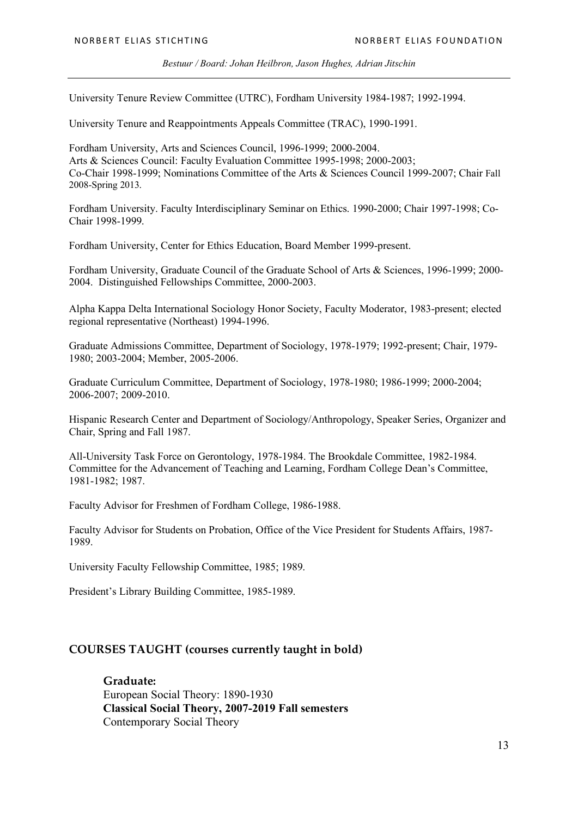University Tenure Review Committee (UTRC), Fordham University 1984-1987; 1992-1994.

University Tenure and Reappointments Appeals Committee (TRAC), 1990-1991.

Fordham University, Arts and Sciences Council, 1996-1999; 2000-2004. Arts & Sciences Council: Faculty Evaluation Committee 1995-1998; 2000-2003; Co-Chair 1998-1999; Nominations Committee of the Arts & Sciences Council 1999-2007; Chair Fall 2008-Spring 2013.

Fordham University. Faculty Interdisciplinary Seminar on Ethics. 1990-2000; Chair 1997-1998; Co-Chair 1998-1999.

Fordham University, Center for Ethics Education, Board Member 1999-present.

Fordham University, Graduate Council of the Graduate School of Arts & Sciences, 1996-1999; 2000- 2004. Distinguished Fellowships Committee, 2000-2003.

Alpha Kappa Delta International Sociology Honor Society, Faculty Moderator, 1983-present; elected regional representative (Northeast) 1994-1996.

Graduate Admissions Committee, Department of Sociology, 1978-1979; 1992-present; Chair, 1979- 1980; 2003-2004; Member, 2005-2006.

Graduate Curriculum Committee, Department of Sociology, 1978-1980; 1986-1999; 2000-2004; 2006-2007; 2009-2010.

Hispanic Research Center and Department of Sociology/Anthropology, Speaker Series, Organizer and Chair, Spring and Fall 1987.

All-University Task Force on Gerontology, 1978-1984. The Brookdale Committee, 1982-1984. Committee for the Advancement of Teaching and Learning, Fordham College Dean's Committee, 1981-1982; 1987.

Faculty Advisor for Freshmen of Fordham College, 1986-1988.

Faculty Advisor for Students on Probation, Office of the Vice President for Students Affairs, 1987- 1989.

University Faculty Fellowship Committee, 1985; 1989.

President's Library Building Committee, 1985-1989.

### **COURSES TAUGHT (courses currently taught in bold)**

**Graduate:**  European Social Theory: 1890-1930 **Classical Social Theory, 2007-2019 Fall semesters** Contemporary Social Theory